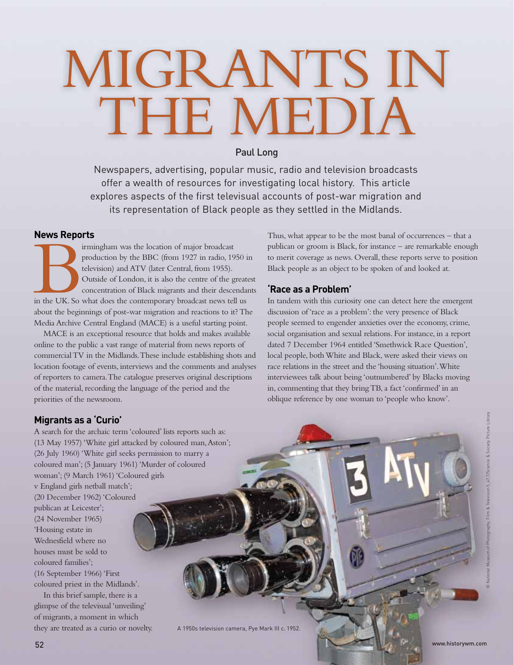# MIGRANTS IN THE MEDIA

# Paul Long

Newspapers, advertising, popular music, radio and television broadcasts offer a wealth of resources for investigating local history. This article explores aspects of the first televisual accounts of post-war migration and its representation of Black people as they settled in the Midlands.

## **News Reports**

Franchischer Chapter and School of the BBC (from 1927 in radio, 19<br>television) and ATV (later Central, from 1955).<br>Outside of London, it is also the centre of the goncentration of Black migrants and their descentive the NE production by the BBC (from 1927 in radio, 1950 in television) and ATV (later Central, from 1955). Outside of London, it is also the centre of the greatest concentration of Black migrants and their descendants in the UK. So what does the contemporary broadcast news tell us about the beginnings of post-war migration and reactions to it? The Media Archive Central England (MACE) is a useful starting point.

MACE is an exceptional resource that holds and makes available online to the public a vast range of material from news reports of commercial TV in the Midlands. These include establishing shots and location footage of events, interviews and the comments and analyses of reporters to camera. The catalogue preserves original descriptions of the material, recording the language of the period and the priorities of the newsroom.

Thus, what appear to be the most banal of occurrences – that a publican or groom is Black, for instance – are remarkable enough to merit coverage as news. Overall, these reports serve to position Black people as an object to be spoken of and looked at.

# **'Race as a Problem'**

In tandem with this curiosity one can detect here the emergent discussion of 'race as a problem': the very presence of Black people seemed to engender anxieties over the economy, crime, social organisation and sexual relations. For instance, in a report dated 7 December 1964 entitled 'Smethwick Race Question', local people, both White and Black, were asked their views on race relations in the street and the 'housing situation'. White interviewees talk about being 'outnumbered' by Blacks moving in, commenting that they bring TB, a fact 'confirmed' in an oblique reference by one woman to 'people who know'.

# **Migrants as a 'Curio'**

A search for the archaic term 'coloured' lists reports such as: (13 May 1957) 'White girl attacked by coloured man, Aston'; (26 July 1960) 'White girl seeks permission to marry a coloured man'; (5 January 1961) 'Murder of coloured woman'; (9 March 1961) 'Coloured girls v England girls netball match'; (20 December 1962) 'Coloured publican at Leicester'; (24 November 1965) 'Housing estate in Wednesfield where no houses must be sold to coloured families'; (16 September 1966) 'First coloured priest in the Midlands'. In this brief sample, there is a

glimpse of the televisual 'unveiling' of migrants, a moment in which they are treated as a curio or novelty.

A 1950s television camera, Pye Mark III c. 1952.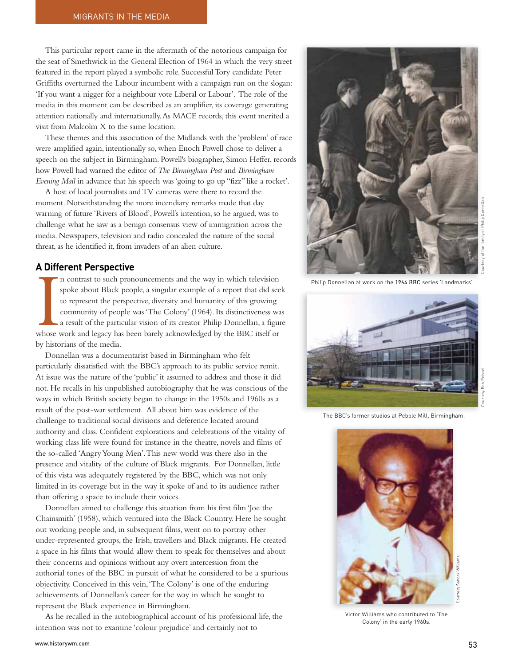This particular report came in the aftermath of the notorious campaign for the seat of Smethwick in the General Election of 1964 in which the very street featured in the report played a symbolic role. Successful Tory candidate Peter Griffiths overturned the Labour incumbent with a campaign run on the slogan: 'If you want a nigger for a neighbour vote Liberal or Labour'. The role of the media in this moment can be described as an amplifier, its coverage generating attention nationally and internationally. As MACE records, this event merited a visit from Malcolm X to the same location.

These themes and this association of the Midlands with the 'problem' of race were amplified again, intentionally so, when Enoch Powell chose to deliver a speech on the subject in Birmingham. Powell's biographer, Simon Heffer, records how Powell had warned the editor of *The Birmingham Post* and *Birmingham Evening Mail* in advance that his speech was 'going to go up "fizz" like a rocket'.

A host of local journalists and TV cameras were there to record the moment. Notwithstanding the more incendiary remarks made that day warning of future 'Rivers of Blood', Powell's intention, so he argued, was to challenge what he saw as a benign consensus view of immigration across the media. Newspapers, television and radio concealed the nature of the social threat, as he identified it, from invaders of an alien culture.

### **A Different Perspective**

**IF DIRECT** n contrast to such pronouncements and the way in which television spoke about Black people, a singular example of a report that did seek to represent the perspective, diversity and humanity of this growing community of people was 'The Colony' (1964). Its distinctiveness was a result of the particular vision of its creator Philip Donnellan, a figure whose work and legacy has been barely acknowledged by the BBC itself or by historians of the media.

Donnellan was a documentarist based in Birmingham who felt particularly dissatisfied with the BBC's approach to its public service remit. At issue was the nature of the 'public' it assumed to address and those it did not. He recalls in his unpublished autobiography that he was conscious of the ways in which British society began to change in the 1950s and 1960s as a result of the post-war settlement. All about him was evidence of the challenge to traditional social divisions and deference located around authority and class. Confident explorations and celebrations of the vitality of working class life were found for instance in the theatre, novels and films of the so-called 'Angry Young Men'. This new world was there also in the presence and vitality of the culture of Black migrants. For Donnellan, little of this vista was adequately registered by the BBC, which was not only limited in its coverage but in the way it spoke of and to its audience rather than offering a space to include their voices.

Donnellan aimed to challenge this situation from his first film 'Joe the Chainsmith' (1958), which ventured into the Black Country. Here he sought out working people and, in subsequent films, went on to portray other under-represented groups, the Irish, travellers and Black migrants. He created a space in his films that would allow them to speak for themselves and about their concerns and opinions without any overt intercession from the authorial tones of the BBC in pursuit of what he considered to be a spurious objectivity. Conceived in this vein, 'The Colony' is one of the enduring achievements of Donnellan's career for the way in which he sought to represent the Black experience in Birmingham.

As he recalled in the autobiographical account of his professional life, the intention was not to examine 'colour prejudice' and certainly not to



Philip Donnellan at work on the 1964 BBC series 'Landmarks'.



The BBC's former studios at Pebble Mill, Birmingham.



Victor Williams who contributed to 'The Colony' in the early 1960s.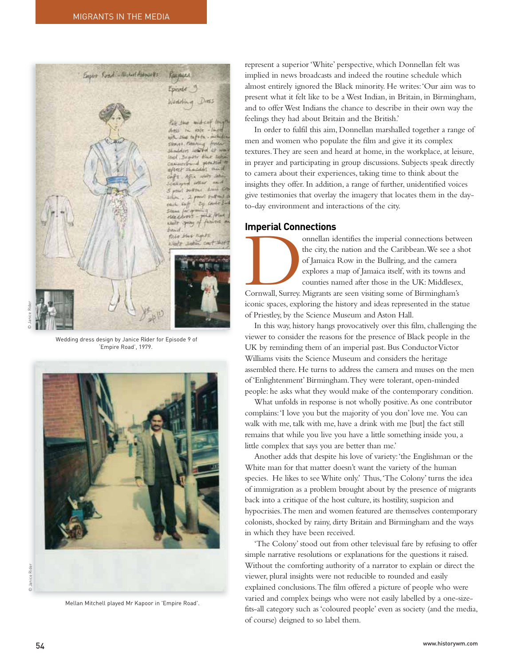

Wedding dress design by Janice Rider for Episode 9 of 'Empire Road', 1979.



Mellan Mitchell played Mr Kapoor in 'Empire Road'.

represent a superior 'White' perspective, which Donnellan felt was implied in news broadcasts and indeed the routine schedule which almost entirely ignored the Black minority. He writes: 'Our aim was to present what it felt like to be a West Indian, in Britain, in Birmingham, and to offer West Indians the chance to describe in their own way the feelings they had about Britain and the British.'

In order to fulfil this aim, Donnellan marshalled together a range of men and women who populate the film and give it its complex textures. They are seen and heard at home, in the workplace, at leisure, in prayer and participating in group discussions. Subjects speak directly to camera about their experiences, taking time to think about the insights they offer. In addition, a range of further, unidentified voices give testimonies that overlay the imagery that locates them in the dayto-day environment and interactions of the city.

### **Imperial Connections**

onnellan identifies the imperial connections between<br>the city, the nation and the Caribbean. We see a shot<br>of Jamaica Row in the Bullring, and the camera<br>explores a map of Jamaica itself, with its towns and<br>counties named the city, the nation and the Caribbean. We see a shot of Jamaica Row in the Bullring, and the camera explores a map of Jamaica itself, with its towns and counties named after those in the UK: Middlesex, Cornwall, Surrey. Migrants are seen visiting some of Birmingham's iconic spaces, exploring the history and ideas represented in the statue of Priestley, by the Science Museum and Aston Hall.

In this way, history hangs provocatively over this film, challenging the viewer to consider the reasons for the presence of Black people in the UK by reminding them of an imperial past. Bus Conductor Victor Williams visits the Science Museum and considers the heritage assembled there. He turns to address the camera and muses on the men of 'Enlightenment' Birmingham. They were tolerant, open-minded people: he asks what they would make of the contemporary condition.

What unfolds in response is not wholly positive. As one contributor complains: 'I love you but the majority of you don' love me. You can walk with me, talk with me, have a drink with me [but] the fact still remains that while you live you have a little something inside you, a little complex that says you are better than me.'

Another adds that despite his love of variety: 'the Englishman or the White man for that matter doesn't want the variety of the human species. He likes to see White only.' Thus, 'The Colony' turns the idea of immigration as a problem brought about by the presence of migrants back into a critique of the host culture, its hostility, suspicion and hypocrisies. The men and women featured are themselves contemporary colonists, shocked by rainy, dirty Britain and Birmingham and the ways in which they have been received.

'The Colony' stood out from other televisual fare by refusing to offer simple narrative resolutions or explanations for the questions it raised. Without the comforting authority of a narrator to explain or direct the viewer, plural insights were not reducible to rounded and easily explained conclusions. The film offered a picture of people who were varied and complex beings who were not easily labelled by a one-sizefits-all category such as 'coloured people' even as society (and the media, of course) deigned to so label them.